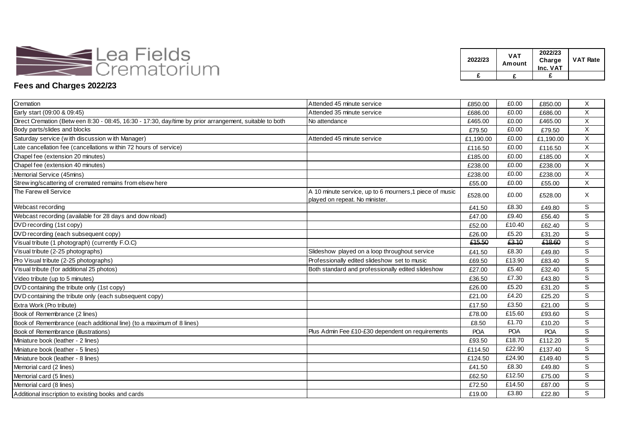

| 2022/23 | VAT<br>Amount | 2022/23<br>Charge<br>Inc. VAT | <b>VAT Rate</b> |
|---------|---------------|-------------------------------|-----------------|
|         |               |                               |                 |

## **Fees and Charges 2022/23**

| Cremation                                                                                               | Attended 45 minute service                                                                | £850.00    | £0.00      | £850.00    | Χ                         |
|---------------------------------------------------------------------------------------------------------|-------------------------------------------------------------------------------------------|------------|------------|------------|---------------------------|
| Early start (09:00 & 09:45)                                                                             | Attended 35 minute service                                                                | £686.00    | £0.00      | £686.00    | $\boldsymbol{\mathsf{X}}$ |
| Direct Cremation (Betw een 8:30 - 08:45, 16:30 - 17:30, day/time by prior arrangement, suitable to both | No attendance                                                                             | £465.00    | £0.00      | £465.00    | X                         |
| Body parts/slides and blocks                                                                            |                                                                                           | £79.50     | £0.00      | £79.50     | X                         |
| Saturday service (with discussion with Manager)                                                         | Attended 45 minute service                                                                | £1,190.00  | £0.00      | £1,190.00  | X                         |
| Late cancellation fee (cancellations within 72 hours of service)                                        |                                                                                           | £116.50    | £0.00      | £116.50    | X                         |
| Chapel fee (extension 20 minutes)                                                                       |                                                                                           | £185.00    | £0.00      | £185.00    | X                         |
| Chapel fee (extension 40 minutes)                                                                       |                                                                                           | £238.00    | £0.00      | £238.00    | X                         |
| Memorial Service (45mins)                                                                               |                                                                                           | £238.00    | £0.00      | £238.00    | X                         |
| Strew ing/scattering of cremated remains from elsew here                                                |                                                                                           | £55.00     | £0.00      | £55.00     | Χ                         |
| The Farew ell Service                                                                                   | A 10 minute service, up to 6 mourners, 1 piece of music<br>played on repeat. No minister. | £528.00    | £0.00      | £528.00    | X                         |
| Webcast recording                                                                                       |                                                                                           | £41.50     | £8.30      | £49.80     | S                         |
| Webcast recording (available for 28 days and download)                                                  |                                                                                           | £47.00     | £9.40      | £56.40     | $\mathbb S$               |
| DVD recording (1st copy)                                                                                |                                                                                           | £52.00     | £10.40     | £62.40     | S                         |
| DVD recording (each subsequent copy)                                                                    |                                                                                           | £26.00     | £5.20      | £31.20     | S                         |
| Visual tribute (1 photograph) (currently F.O.C)                                                         |                                                                                           | £15.50     | £3.10      | £18.60     | S                         |
| Visual tribute (2-25 photographs)                                                                       | Slideshow played on a loop throughout service                                             | £41.50     | £8.30      | £49.80     | S                         |
| Pro Visual tribute (2-25 photographs)                                                                   | Professionally edited slideshow set to music                                              | £69.50     | £13.90     | £83.40     | S                         |
| Visual tribute (for additional 25 photos)                                                               | Both standard and professionally edited slideshow                                         | £27.00     | £5.40      | £32.40     | S                         |
| Video tribute (up to 5 minutes)                                                                         |                                                                                           | £36.50     | £7.30      | £43.80     | S                         |
| DVD containing the tribute only (1st copy)                                                              |                                                                                           | £26.00     | £5.20      | £31.20     | S                         |
| DVD containing the tribute only (each subsequent copy)                                                  |                                                                                           | £21.00     | £4.20      | £25.20     | S                         |
| Extra Work (Pro tribute)                                                                                |                                                                                           | £17.50     | £3.50      | £21.00     | S                         |
| Book of Remembrance (2 lines)                                                                           |                                                                                           | £78.00     | £15.60     | £93.60     | S                         |
| Book of Remembrance (each additional line) (to a maximum of 8 lines)                                    |                                                                                           | £8.50      | £1.70      | £10.20     | S                         |
| Book of Remembrance (illustrations)                                                                     | Plus Admin Fee £10-£30 dependent on requirements                                          | <b>POA</b> | <b>POA</b> | <b>POA</b> | $\mathbb S$               |
| Miniature book (leather - 2 lines)                                                                      |                                                                                           | £93.50     | £18.70     | £112.20    | S                         |
| Miniature book (leather - 5 lines)                                                                      |                                                                                           | £114.50    | £22.90     | £137.40    | S                         |
| Miniature book (leather - 8 lines)                                                                      |                                                                                           | £124.50    | £24.90     | £149.40    | S                         |
| Memorial card (2 lines)                                                                                 |                                                                                           | £41.50     | £8.30      | £49.80     | S                         |
| Memorial card (5 lines)                                                                                 |                                                                                           | £62.50     | £12.50     | £75.00     | S                         |
| Memorial card (8 lines)                                                                                 |                                                                                           | £72.50     | £14.50     | £87.00     | ${\mathbb S}$             |
| Additional inscription to existing books and cards                                                      |                                                                                           | £19.00     | £3.80      | £22.80     | $\mathsf{s}$              |